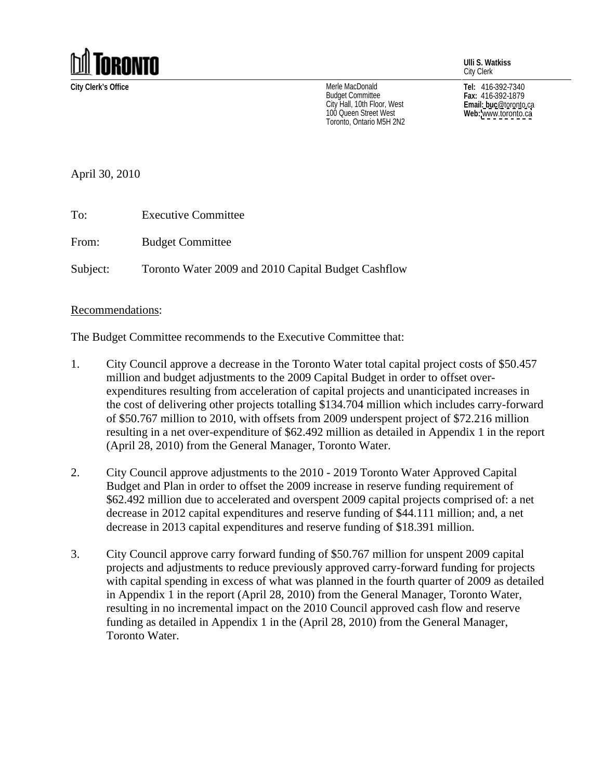

**Ulli S. Watkiss** City Clerk

**City Clerk's Office Tel:** 416-392-7340 Merle MacDonald Budget Committee **Election State Communitiers** Fax: 416-392-1879 City Hall, 10th Floor, West<br>100 Queen Street West<br>**Web:** www.toronto.ca 100 Queen Street West<br>
Toronto. Ontario M5H 2N2<br>
Toronto. Ontario M5H 2N2 Toronto, Ontario M5H 2N2

**Fax:** 416-392-1879 **Email: buc**@toronto.ca **Web:** [www.toronto.ca](http://www.toronto.ca)

April 30, 2010

| Гo:      | <b>Executive Committee</b>                                                                                                                                                                                                                                      |
|----------|-----------------------------------------------------------------------------------------------------------------------------------------------------------------------------------------------------------------------------------------------------------------|
| From:    | <b>Budget Committee</b><br><u>experimental properties of the second contract of the second contract of the second contract of the second contract of the second contract of the second contract of the second contract of the second contract of the second</u> |
| Subject: | Toronto Water 2009 and 2010 Capital Budget Cashflow                                                                                                                                                                                                             |

## Recommendations:

The Budget Committee recommends to the Executive Committee that:

- 1. City Council approve a decrease in the Toronto Water total capital project costs of \$50.457 million and budget adjustments to the 2009 Capital Budget in order to offset over expenditures resulting from acceleration of capital projects and unanticipated increases in the cost of delivering other projects totalling \$134.704 million which includes carry-forward of \$50.767 million to 2010, with offsets from 2009 underspent project of \$72.216 million resulting in a net over-expenditure of \$62.492 million as detailed in Appendix 1 in the report (April 28, 2010) from the General Manager, Toronto Water.
- 2. City Council approve adjustments to the 2010 2019 Toronto Water Approved Capital Budget and Plan in order to offset the 2009 increase in reserve funding requirement of \$62.492 million due to accelerated and overspent 2009 capital projects comprised of: a net decrease in 2012 capital expenditures and reserve funding of \$44.111 million; and, a net decrease in 2013 capital expenditures and reserve funding of \$18.391 million.
- 3. City Council approve carry forward funding of \$50.767 million for unspent 2009 capital projects and adjustments to reduce previously approved carry-forward funding for projects with capital spending in excess of what was planned in the fourth quarter of 2009 as detailed in Appendix 1 in the report (April 28, 2010) from the General Manager, Toronto Water, resulting in no incremental impact on the 2010 Council approved cash flow and reserve funding as detailed in Appendix 1 in the (April 28, 2010) from the General Manager, Toronto Water.